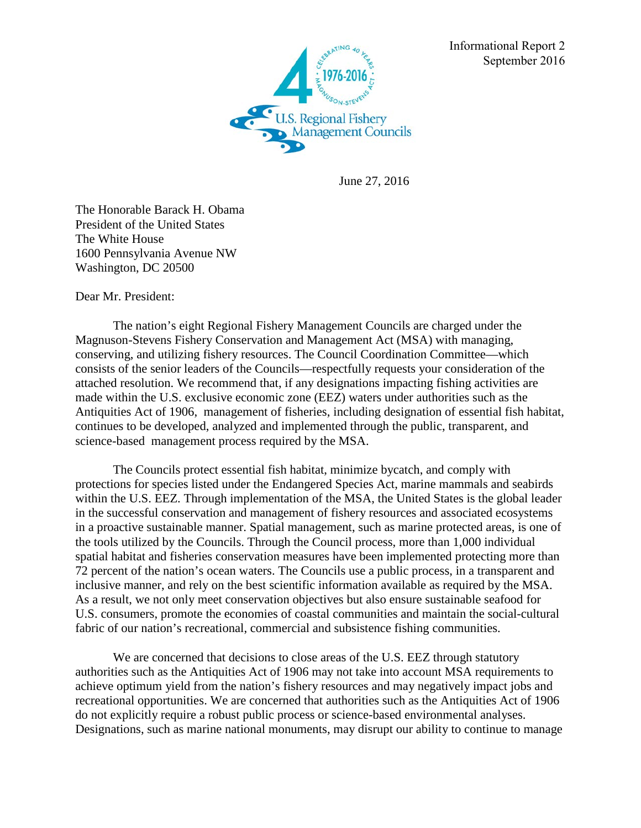

Informational Report 2 September 2016

June 27, 2016

The Honorable Barack H. Obama President of the United States The White House 1600 Pennsylvania Avenue NW Washington, DC 20500

Dear Mr. President:

 The nation's eight Regional Fishery Management Councils are charged under the Magnuson-Stevens Fishery Conservation and Management Act (MSA) with managing, conserving, and utilizing fishery resources. The Council Coordination Committee—which consists of the senior leaders of the Councils—respectfully requests your consideration of the attached resolution. We recommend that, if any designations impacting fishing activities are made within the U.S. exclusive economic zone (EEZ) waters under authorities such as the Antiquities Act of 1906, management of fisheries, including designation of essential fish habitat, continues to be developed, analyzed and implemented through the public, transparent, and science-based management process required by the MSA.

The Councils protect essential fish habitat, minimize bycatch, and comply with protections for species listed under the Endangered Species Act, marine mammals and seabirds within the U.S. EEZ. Through implementation of the MSA, the United States is the global leader in the successful conservation and management of fishery resources and associated ecosystems in a proactive sustainable manner. Spatial management, such as marine protected areas, is one of the tools utilized by the Councils. Through the Council process, more than 1,000 individual spatial habitat and fisheries conservation measures have been implemented protecting more than 72 percent of the nation's ocean waters. The Councils use a public process, in a transparent and inclusive manner, and rely on the best scientific information available as required by the MSA. As a result, we not only meet conservation objectives but also ensure sustainable seafood for U.S. consumers, promote the economies of coastal communities and maintain the social-cultural fabric of our nation's recreational, commercial and subsistence fishing communities.

We are concerned that decisions to close areas of the U.S. EEZ through statutory authorities such as the Antiquities Act of 1906 may not take into account MSA requirements to achieve optimum yield from the nation's fishery resources and may negatively impact jobs and recreational opportunities. We are concerned that authorities such as the Antiquities Act of 1906 do not explicitly require a robust public process or science-based environmental analyses. Designations, such as marine national monuments, may disrupt our ability to continue to manage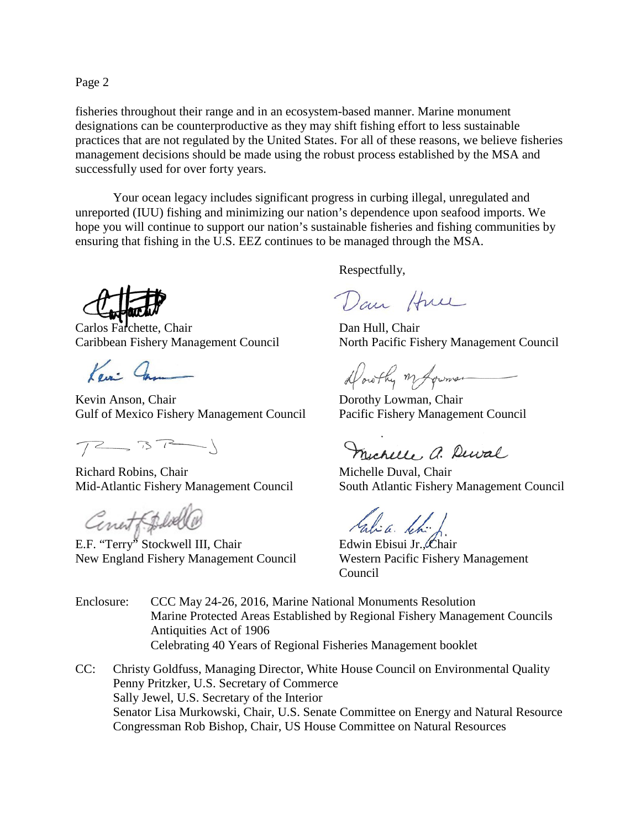Page 2

fisheries throughout their range and in an ecosystem-based manner. Marine monument designations can be counterproductive as they may shift fishing effort to less sustainable practices that are not regulated by the United States. For all of these reasons, we believe fisheries management decisions should be made using the robust process established by the MSA and successfully used for over forty years.

Your ocean legacy includes significant progress in curbing illegal, unregulated and unreported (IUU) fishing and minimizing our nation's dependence upon seafood imports. We hope you will continue to support our nation's sustainable fisheries and fishing communities by ensuring that fishing in the U.S. EEZ continues to be managed through the MSA.

Carlos Farchette, Chair Dan Hull, Chair

Ken: Cam

Kevin Anson, Chair Dorothy Lowman, Chair Gulf of Mexico Fishery Management Council Pacific Fishery Management Council

 $7277$ 

Richard Robins, Chair Michelle Duval, Chair

Conet Folde

E.F. "Terry" Stockwell III, Chair Edwin Ebisui Jr., Chair New England Fishery Management Council Western Pacific Fishery Management

Respectfully,

Dan Hun

Caribbean Fishery Management Council North Pacific Fishery Management Council

Dorothy my former

Michelle a. Dewal

Mid-Atlantic Fishery Management Council South Atlantic Fishery Management Council

tabia khi.

Council

- Enclosure: CCC May 24-26, 2016, Marine National Monuments Resolution Marine Protected Areas Established by Regional Fishery Management Councils Antiquities Act of 1906 Celebrating 40 Years of Regional Fisheries Management booklet
- CC: Christy Goldfuss, Managing Director, White House Council on Environmental Quality Penny Pritzker*,* U.S. Secretary of Commerce Sally Jewel, U.S. Secretary of the Interior Senator Lisa Murkowski, Chair, U.S. Senate Committee on Energy and Natural Resource Congressman Rob Bishop, Chair, US House Committee on Natural Resources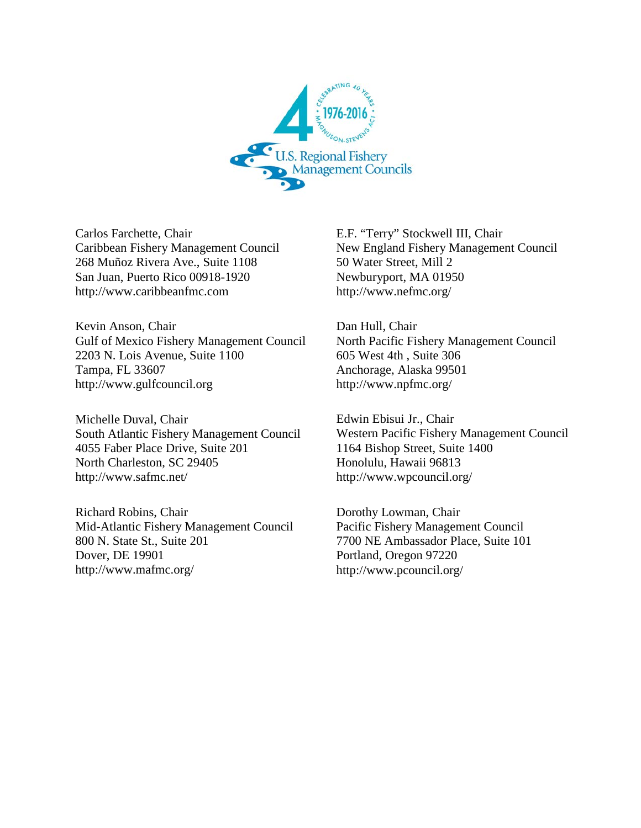

Carlos Farchette, Chair Caribbean Fishery Management Council 268 Muñoz Rivera Ave., Suite 1108 San Juan, Puerto Rico 00918-1920 http://www.caribbeanfmc.com

Kevin Anson, Chair Gulf of Mexico Fishery Management Council 2203 N. Lois Avenue, Suite 1100 Tampa, FL 33607 http://www.gulfcouncil.org

Michelle Duval, Chair South Atlantic Fishery Management Council 4055 Faber Place Drive, Suite 201 North Charleston, SC 29405 http://www.safmc.net/

Richard Robins, Chair Mid-Atlantic Fishery Management Council 800 N. State St., Suite 201 Dover, DE 19901 http://www.mafmc.org/

E.F. "Terry" Stockwell III, Chair New England Fishery Management Council 50 Water Street, Mill 2 Newburyport, MA 01950 http://www.nefmc.org/

Dan Hull, Chair North Pacific Fishery Management Council 605 West 4th , Suite 306 Anchorage, Alaska 99501 http://www.npfmc.org/

Edwin Ebisui Jr., Chair Western Pacific Fishery Management Council 1164 Bishop Street, Suite 1400 Honolulu, Hawaii 96813 http://www.wpcouncil.org/

Dorothy Lowman, Chair Pacific Fishery Management Council 7700 NE Ambassador Place, Suite 101 Portland, Oregon 97220 http://www.pcouncil.org/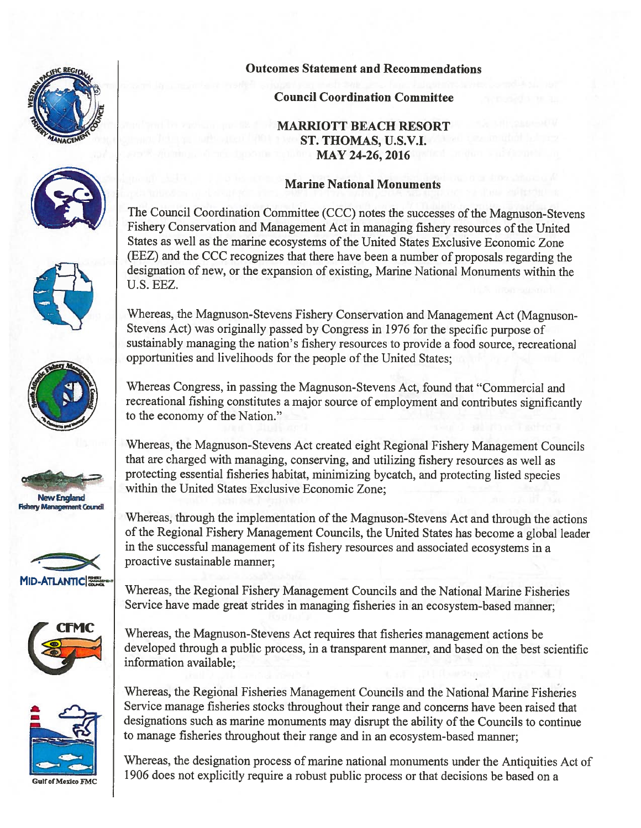

















**Outcomes Statement and Recommendations** 

# **Council Coordination Committee**

**MARRIOTT BEACH RESORT** ST. THOMAS, U.S.V.I. MAY 24-26, 2016

# **Marine National Monuments**

The Council Coordination Committee (CCC) notes the successes of the Magnuson-Stevens Fishery Conservation and Management Act in managing fishery resources of the United States as well as the marine ecosystems of the United States Exclusive Economic Zone (EEZ) and the CCC recognizes that there have been a number of proposals regarding the designation of new, or the expansion of existing, Marine National Monuments within the U.S. EEZ.

Whereas, the Magnuson-Stevens Fishery Conservation and Management Act (Magnuson-Stevens Act) was originally passed by Congress in 1976 for the specific purpose of sustainably managing the nation's fishery resources to provide a food source, recreational opportunities and livelihoods for the people of the United States;

Whereas Congress, in passing the Magnuson-Stevens Act, found that "Commercial and recreational fishing constitutes a major source of employment and contributes significantly to the economy of the Nation."

Whereas, the Magnuson-Stevens Act created eight Regional Fishery Management Councils that are charged with managing, conserving, and utilizing fishery resources as well as protecting essential fisheries habitat, minimizing bycatch, and protecting listed species within the United States Exclusive Economic Zone;

Whereas, through the implementation of the Magnuson-Stevens Act and through the actions of the Regional Fishery Management Councils, the United States has become a global leader in the successful management of its fishery resources and associated ecosystems in a proactive sustainable manner;

Whereas, the Regional Fishery Management Councils and the National Marine Fisheries Service have made great strides in managing fisheries in an ecosystem-based manner;

Whereas, the Magnuson-Stevens Act requires that fisheries management actions be developed through a public process, in a transparent manner, and based on the best scientific information available;

Whereas, the Regional Fisheries Management Councils and the National Marine Fisheries Service manage fisheries stocks throughout their range and concerns have been raised that designations such as marine monuments may disrupt the ability of the Councils to continue to manage fisheries throughout their range and in an ecosystem-based manner;

Whereas, the designation process of marine national monuments under the Antiquities Act of 1906 does not explicitly require a robust public process or that decisions be based on a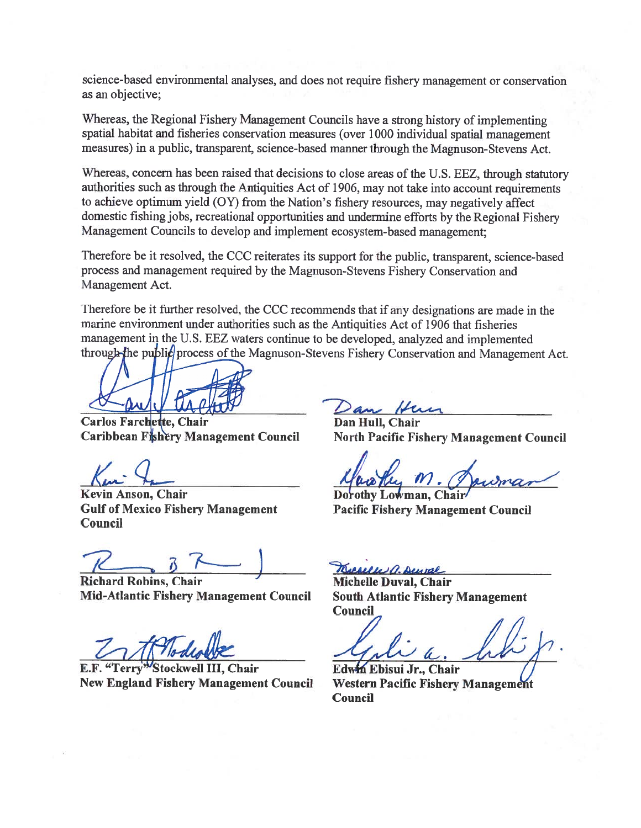science-based environmental analyses, and does not require fishery management or conservation as an objective:

Whereas, the Regional Fishery Management Councils have a strong history of implementing spatial habitat and fisheries conservation measures (over 1000 individual spatial management measures) in a public, transparent, science-based manner through the Magnuson-Stevens Act.

Whereas, concern has been raised that decisions to close areas of the U.S. EEZ, through statutory authorities such as through the Antiquities Act of 1906, may not take into account requirements to achieve optimum yield (OY) from the Nation's fishery resources, may negatively affect domestic fishing jobs, recreational opportunities and undermine efforts by the Regional Fishery Management Councils to develop and implement ecosystem-based management;

Therefore be it resolved, the CCC reiterates its support for the public, transparent, science-based process and management required by the Magnuson-Stevens Fishery Conservation and Management Act.

Therefore be it further resolved, the CCC recommends that if any designations are made in the marine environment under authorities such as the Antiquities Act of 1906 that fisheries management in the U.S. EEZ waters continue to be developed, analyzed and implemented through-the public process of the Magnuson-Stevens Fishery Conservation and Management Act.

**Carlos Farchette. Chair** Caribbean Fishery Management Council

Kevin Anson, Chair **Gulf of Mexico Fishery Management** Council

**Richard Robins, Chair Mid-Atlantic Fishery Management Council** 

E.F. "Terry"Stockwell III, Chair **New England Fishery Management Council** 

an Hu

Dan Hull, Chair **North Pacific Fishery Management Council** 

Dorothy Lowman, Chai **Pacific Fishery Management Council** 

Ruevelle a. Denval Michelle Duval, Chair **South Atlantic Fishery Management Council** 

Edwin Ebisui Jr., Chair **Western Pacific Fishery Management Council**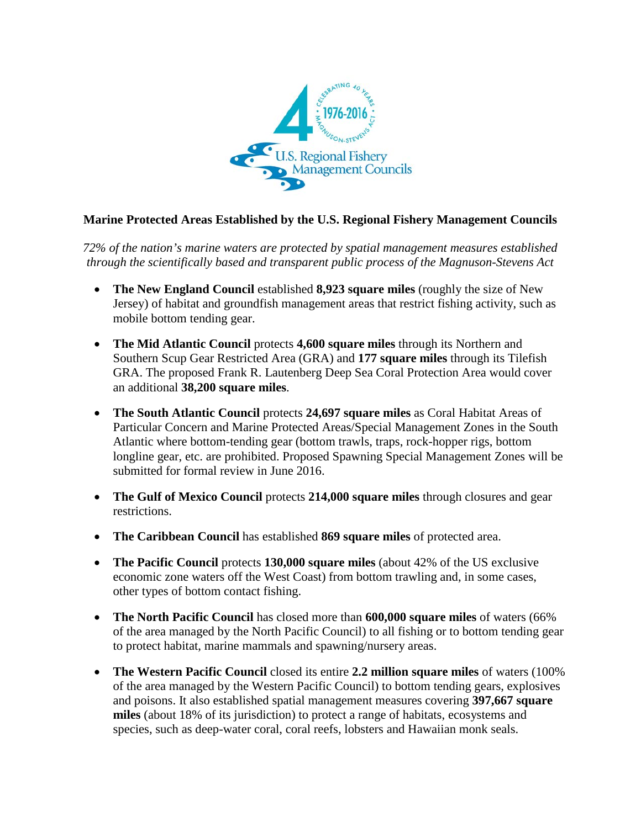

# **Marine Protected Areas Established by the U.S. Regional Fishery Management Councils**

*72% of the nation's marine waters are protected by spatial management measures established through the scientifically based and transparent public process of the Magnuson-Stevens Act*

- **The New England Council** established **8,923 square miles** (roughly the size of New Jersey) of habitat and groundfish management areas that restrict fishing activity, such as mobile bottom tending gear.
- **The Mid Atlantic Council** protects **4,600 square miles** through its Northern and Southern Scup Gear Restricted Area (GRA) and **177 square miles** through its Tilefish GRA. The proposed Frank R. Lautenberg Deep Sea Coral Protection Area would cover an additional **38,200 square miles**.
- **The South Atlantic Council** protects **24,697 square miles** as Coral Habitat Areas of Particular Concern and Marine Protected Areas/Special Management Zones in the South Atlantic where bottom-tending gear (bottom trawls, traps, rock-hopper rigs, bottom longline gear, etc. are prohibited. Proposed Spawning Special Management Zones will be submitted for formal review in June 2016.
- **The Gulf of Mexico Council** protects **214,000 square miles** through closures and gear restrictions.
- **The Caribbean Council** has established **869 square miles** of protected area.
- **The Pacific Council** protects **130,000 square miles** (about 42% of the US exclusive economic zone waters off the West Coast) from bottom trawling and, in some cases, other types of bottom contact fishing.
- **The North Pacific Council** has closed more than **600,000 square miles** of waters (66% of the area managed by the North Pacific Council) to all fishing or to bottom tending gear to protect habitat, marine mammals and spawning/nursery areas.
- **The Western Pacific Council** closed its entire **2.2 million square miles** of waters (100% of the area managed by the Western Pacific Council) to bottom tending gears, explosives and poisons. It also established spatial management measures covering **397,667 square miles** (about 18% of its jurisdiction) to protect a range of habitats, ecosystems and species, such as deep-water coral, coral reefs, lobsters and Hawaiian monk seals.